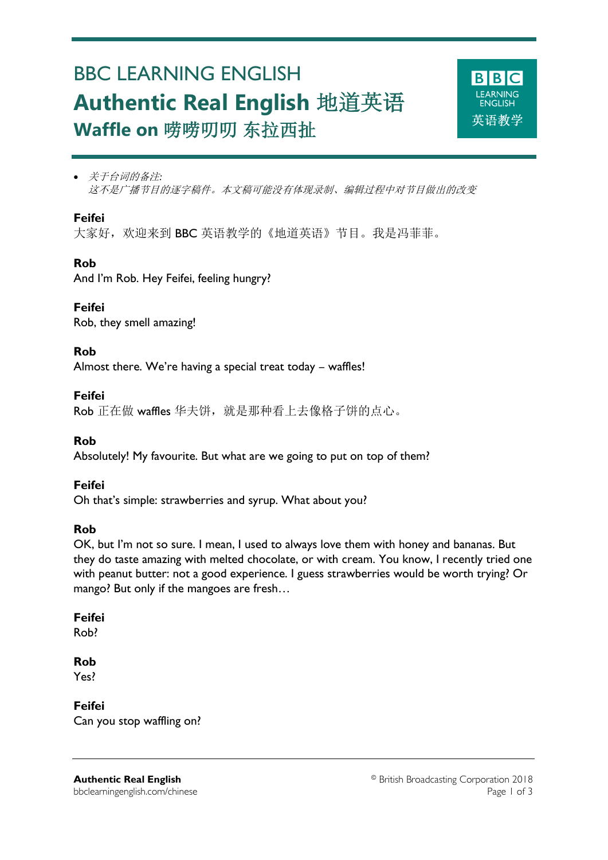# BBC LEARNING ENGLISH **Authentic Real English** 地道英语 **Waffle on** 唠唠叨叨 东拉西扯



 关于台词的备注*:* 这不是广播节目的逐字稿件。本文稿可能没有体现录制、编辑过程中对节目做出的改变

## **Feifei**

Ξ

大家好,欢迎来到 BBC 英语教学的《地道英语》节目。我是冯菲菲。

## **Rob**

And I'm Rob. Hey Feifei, feeling hungry?

## **Feifei**

Rob, they smell amazing!

## **Rob**

Almost there. We're having a special treat today – waffles!

## **Feifei**

Rob 正在做 waffles 华夫饼, 就是那种看上去像格子饼的点心。

## **Rob**

Absolutely! My favourite. But what are we going to put on top of them?

## **Feifei**

Oh that's simple: strawberries and syrup. What about you?

#### **Rob**

OK, but I'm not so sure. I mean, I used to always love them with honey and bananas. But they do taste amazing with melted chocolate, or with cream. You know, I recently tried one with peanut butter: not a good experience. I guess strawberries would be worth trying? Or mango? But only if the mangoes are fresh…

## **Feifei**

Rob?

## **Rob**

Yes?

**Feifei** Can you stop waffling on?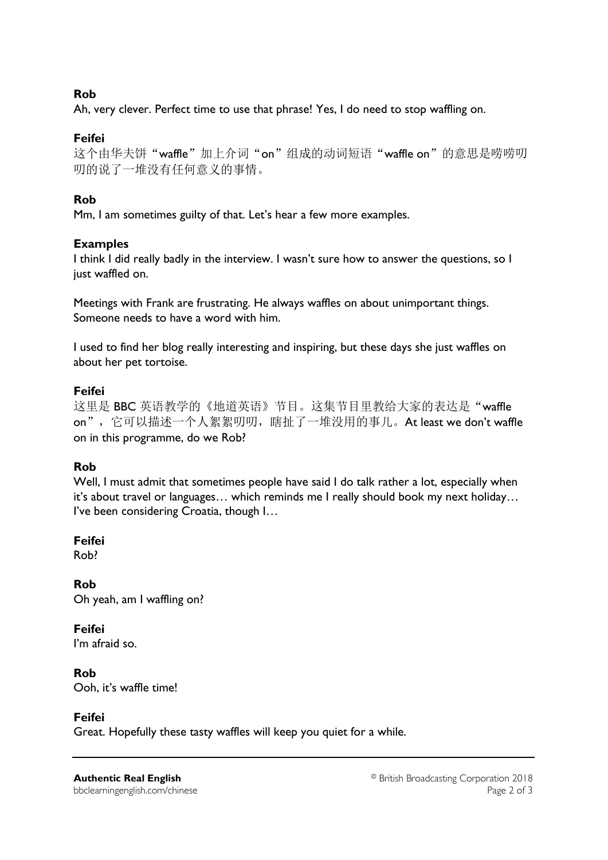## **Rob**

Ah, very clever. Perfect time to use that phrase! Yes, I do need to stop waffling on.

## **Feifei**

这个由华夫饼"waffle"加上介词"on"组成的动词短语"waffle on"的意思是唠唠叨 叨的说了一堆没有任何意义的事情。

# **Rob**

Mm, I am sometimes guilty of that. Let's hear a few more examples.

## **Examples**

I think I did really badly in the interview. I wasn't sure how to answer the questions, so I just waffled on.

Meetings with Frank are frustrating. He always waffles on about unimportant things. Someone needs to have a word with him.

I used to find her blog really interesting and inspiring, but these days she just waffles on about her pet tortoise.

## **Feifei**

这里是 BBC 英语教学的《地道英语》节目。这集节目里教给大家的表达是"waffle on", 它可以描述一个人絮絮叨叨, 瞎扯了一堆没用的事儿。At least we don't waffle on in this programme, do we Rob?

## **Rob**

Well, I must admit that sometimes people have said I do talk rather a lot, especially when it's about travel or languages… which reminds me I really should book my next holiday… I've been considering Croatia, though I…

## **Feifei**

Rob?

**Rob** Oh yeah, am I waffling on?

# **Feifei**

I'm afraid so.

# **Rob**

Ooh, it's waffle time!

## **Feifei**

Great. Hopefully these tasty waffles will keep you quiet for a while.